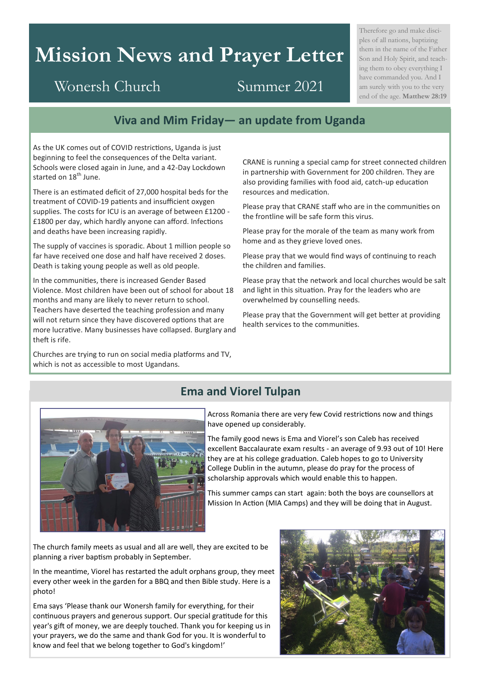# **Mission News and Prayer Letter**

Therefore go and make disciples of all nations, baptizing them in the name of the Father Son and Holy Spirit, and teaching them to obey everything I have commanded you. And I am surely with you to the very end of the age. **Matthew 28:19**

# Wonersh Church Summer 2021

### **Viva and Mim Friday— an update from Uganda**

As the UK comes out of COVID restrictions, Uganda is just beginning to feel the consequences of the Delta variant. Schools were closed again in June, and a 42-Day Lockdown started on 18<sup>th</sup> June.

There is an estimated deficit of 27,000 hospital beds for the treatment of COVID-19 patients and insufficient oxygen supplies. The costs for ICU is an average of between £1200 - £1800 per day, which hardly anyone can afford. Infections and deaths have been increasing rapidly.

The supply of vaccines is sporadic. About 1 million people so far have received one dose and half have received 2 doses. Death is taking young people as well as old people.

In the communities, there is increased Gender Based Violence. Most children have been out of school for about 18 months and many are likely to never return to school. Teachers have deserted the teaching profession and many will not return since they have discovered options that are more lucrative. Many businesses have collapsed. Burglary and theft is rife.

Churches are trying to run on social media platforms and TV, which is not as accessible to most Ugandans.

CRANE is running a special camp for street connected children in partnership with Government for 200 children. They are also providing families with food aid, catch-up education resources and medication.

Please pray that CRANE staff who are in the communities on the frontline will be safe form this virus.

Please pray for the morale of the team as many work from home and as they grieve loved ones.

Please pray that we would find ways of continuing to reach the children and families.

Please pray that the network and local churches would be salt and light in this situation. Pray for the leaders who are overwhelmed by counselling needs.

Please pray that the Government will get better at providing health services to the communities.



#### **Ema and Viorel Tulpan**

Across Romania there are very few Covid restrictions now and things have opened up considerably.

The family good news is Ema and Viorel's son Caleb has received excellent Baccalaurate exam results - an average of 9.93 out of 10! Here they are at his college graduation. Caleb hopes to go to University College Dublin in the autumn, please do pray for the process of scholarship approvals which would enable this to happen.

This summer camps can start again: both the boys are counsellors at Mission In Action (MIA Camps) and they will be doing that in August.

The church family meets as usual and all are well, they are excited to be planning a river baptism probably in September.

In the meantime, Viorel has restarted the adult orphans group, they meet every other week in the garden for a BBQ and then Bible study. Here is a photo!

Ema says 'Please thank our Wonersh family for everything, for their continuous prayers and generous support. Our special gratitude for this year's gift of money, we are deeply touched. Thank you for keeping us in your prayers, we do the same and thank God for you. It is wonderful to know and feel that we belong together to God's kingdom!'

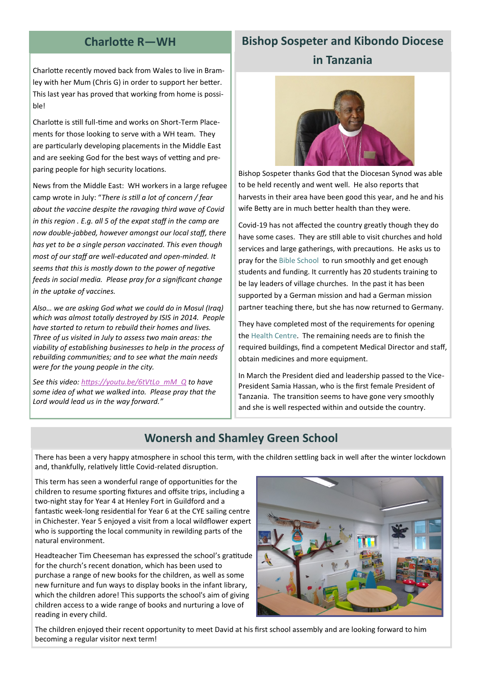#### **Charlotte R—WH**

## **Bishop Sospeter and Kibondo Diocese in Tanzania**

Charlotte recently moved back from Wales to live in Bramley with her Mum (Chris G) in order to support her better. This last year has proved that working from home is possible!

Charlotte is still full-time and works on Short-Term Placements for those looking to serve with a WH team. They are particularly developing placements in the Middle East and are seeking God for the best ways of vetting and preparing people for high security locations.

News from the Middle East: WH workers in a large refugee camp wrote in July: "*There is still a lot of concern / fear about the vaccine despite the ravaging third wave of Covid in this region . E.g. all 5 of the expat staff in the camp are now double-jabbed, however amongst our local staff, there has yet to be a single person vaccinated. This even though most of our staff are well-educated and open-minded. It seems that this is mostly down to the power of negative feeds in social media. Please pray for a significant change in the uptake of vaccines.*

*Also… we are asking God what we could do in Mosul (Iraq) which was almost totally destroyed by ISIS in 2014. People have started to return to rebuild their homes and lives. Three of us visited in July to assess two main areas: the viability of establishing businesses to help in the process of rebuilding communities; and to see what the main needs were for the young people in the city.* 

*See this video: [https://youtu.be/6tVtLo\\_mM\\_Q](https://youtu.be/6tVtLo_mM_Q) to have some idea of what we walked into. Please pray that the Lord would lead us in the way forward."*



Bishop Sospeter thanks God that the Diocesan Synod was able to be held recently and went well. He also reports that harvests in their area have been good this year, and he and his wife Betty are in much better health than they were.

Covid-19 has not affected the country greatly though they do have some cases. They are still able to visit churches and hold services and large gatherings, with precautions. He asks us to pray for the Bible School to run smoothly and get enough students and funding. It currently has 20 students training to be lay leaders of village churches. In the past it has been supported by a German mission and had a German mission partner teaching there, but she has now returned to Germany.

They have completed most of the requirements for opening the Health Centre. The remaining needs are to finish the required buildings, find a competent Medical Director and staff, obtain medicines and more equipment.

In March the President died and leadership passed to the Vice-President Samia Hassan, who is the first female President of Tanzania. The transition seems to have gone very smoothly and she is well respected within and outside the country.

#### **Wonersh and Shamley Green School**

There has been a very happy atmosphere in school this term, with the children settling back in well after the winter lockdown and, thankfully, relatively little Covid-related disruption.

This term has seen a wonderful range of opportunities for the children to resume sporting fixtures and offsite trips, including a two-night stay for Year 4 at Henley Fort in Guildford and a fantastic week-long residential for Year 6 at the CYE sailing centre in Chichester. Year 5 enjoyed a visit from a local wildflower expert who is supporting the local community in rewilding parts of the natural environment.

Headteacher Tim Cheeseman has expressed the school's gratitude for the church's recent donation, which has been used to purchase a range of new books for the children, as well as some new furniture and fun ways to display books in the infant library, which the children adore! This supports the school's aim of giving children access to a wide range of books and nurturing a love of reading in every child.



The children enjoyed their recent opportunity to meet David at his first school assembly and are looking forward to him becoming a regular visitor next term!